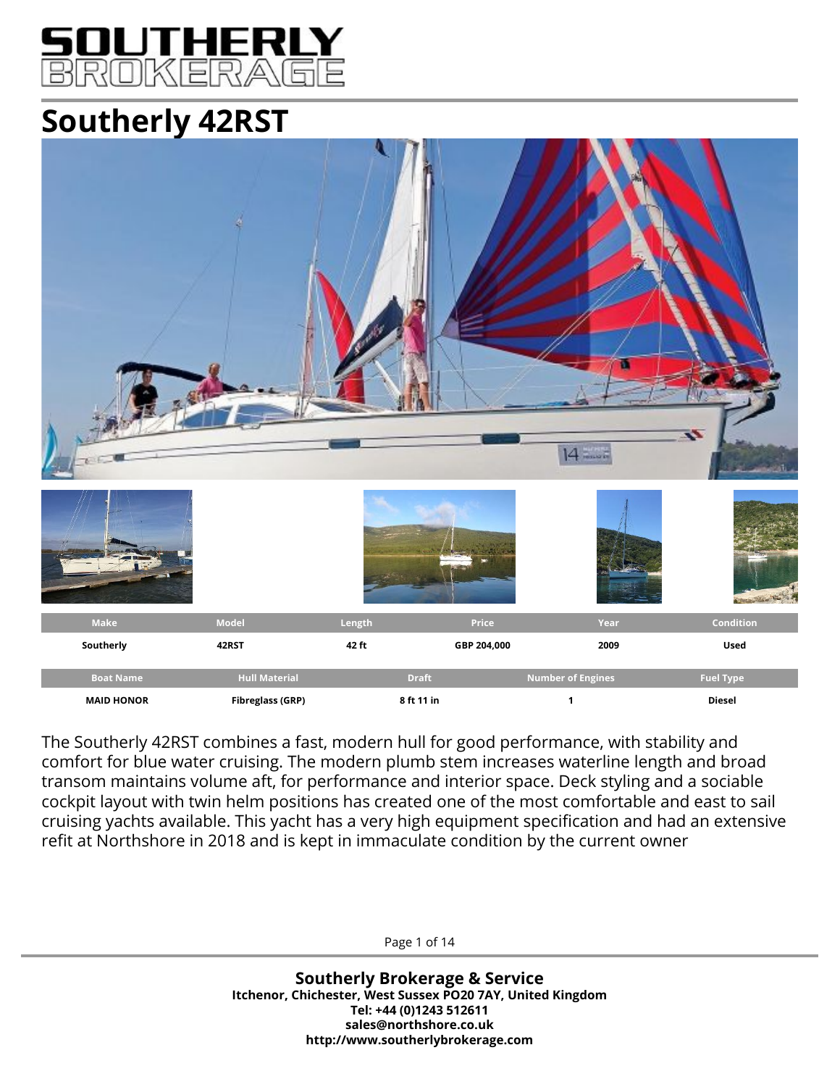

# **Southerly 42RST**



The Southerly 42RST combines a fast, modern hull for good performance, with stability and comfort for blue water cruising. The modern plumb stem increases waterline length and broad transom maintains volume aft, for performance and interior space. Deck styling and a sociable cockpit layout with twin helm positions has created one of the most comfortable and east to sail cruising yachts available. This yacht has a very high equipment specification and had an extensive refit at Northshore in 2018 and is kept in immaculate condition by the current owner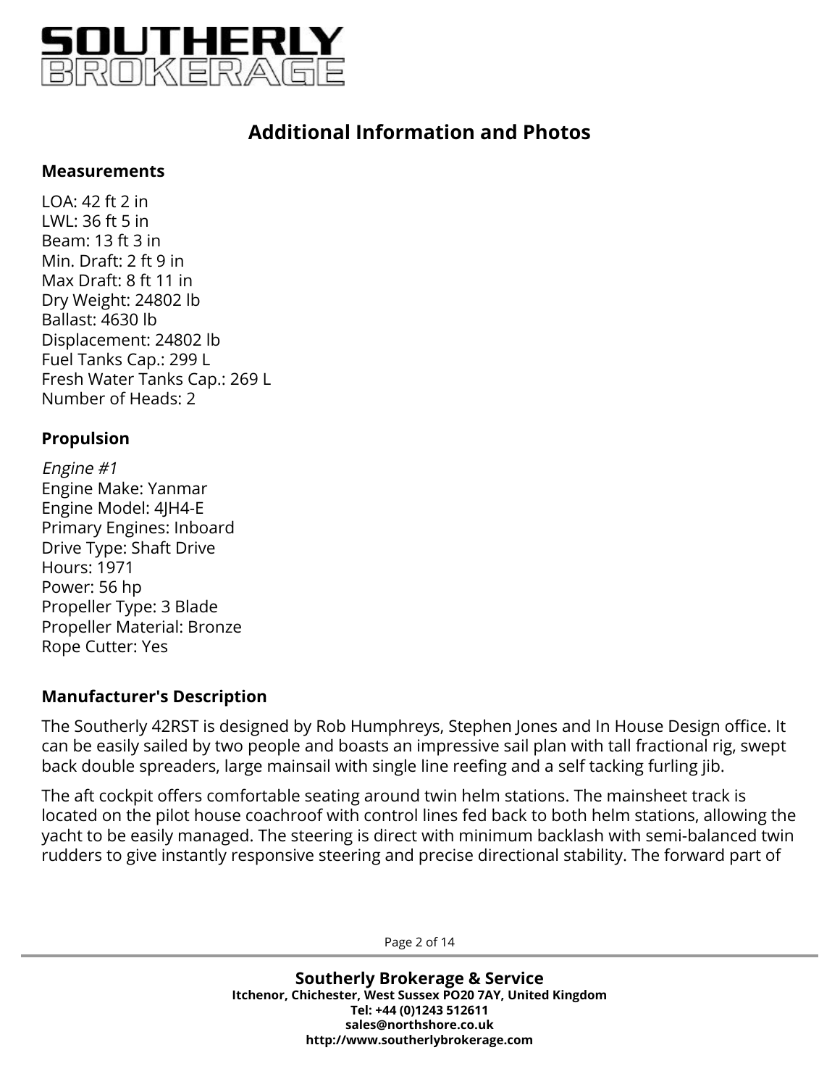

#### **Measurements**

LOA: 42 ft 2 in LWL: 36 ft 5 in Beam: 13 ft 3 in Min. Draft: 2 ft 9 in Max Draft: 8 ft 11 in Dry Weight: 24802 lb Ballast: 4630 lb Displacement: 24802 lb Fuel Tanks Cap.: 299 L Fresh Water Tanks Cap.: 269 L Number of Heads: 2

#### **Propulsion**

Engine #1 Engine Make: Yanmar Engine Model: 4JH4-E Primary Engines: Inboard Drive Type: Shaft Drive Hours: 1971 Power: 56 hp Propeller Type: 3 Blade Propeller Material: Bronze Rope Cutter: Yes

### **Manufacturer's Description**

The Southerly 42RST is designed by Rob Humphreys, Stephen Jones and In House Design office. It can be easily sailed by two people and boasts an impressive sail plan with tall fractional rig, swept back double spreaders, large mainsail with single line reefing and a self tacking furling jib.

The aft cockpit offers comfortable seating around twin helm stations. The mainsheet track is located on the pilot house coachroof with control lines fed back to both helm stations, allowing the yacht to be easily managed. The steering is direct with minimum backlash with semi-balanced twin rudders to give instantly responsive steering and precise directional stability. The forward part of

Page 2 of 14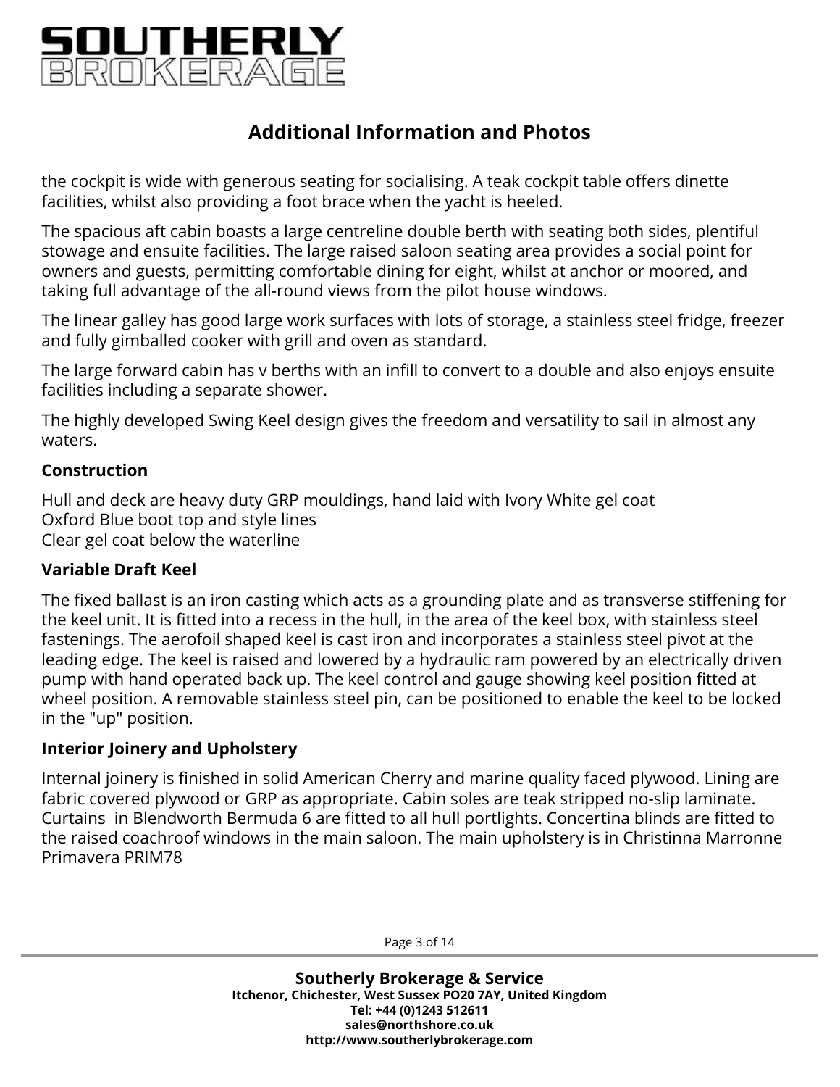

the cockpit is wide with generous seating for socialising. A teak cockpit table offers dinette facilities, whilst also providing a foot brace when the yacht is heeled.

The spacious aft cabin boasts a large centreline double berth with seating both sides, plentiful stowage and ensuite facilities. The large raised saloon seating area provides a social point for owners and guests, permitting comfortable dining for eight, whilst at anchor or moored, and taking full advantage of the all-round views from the pilot house windows.

The linear galley has good large work surfaces with lots of storage, a stainless steel fridge, freezer and fully gimballed cooker with grill and oven as standard.

The large forward cabin has v berths with an infill to convert to a double and also enjoys ensuite facilities including a separate shower.

The highly developed Swing Keel design gives the freedom and versatility to sail in almost any waters.

#### **Construction**

Hull and deck are heavy duty GRP mouldings, hand laid with Ivory White gel coat Oxford Blue boot top and style lines Clear gel coat below the waterline

### **Variable Draft Keel**

The fixed ballast is an iron casting which acts as a grounding plate and as transverse stiffening for the keel unit. It is fitted into a recess in the hull, in the area of the keel box, with stainless steel fastenings. The aerofoil shaped keel is cast iron and incorporates a stainless steel pivot at the leading edge. The keel is raised and lowered by a hydraulic ram powered by an electrically driven pump with hand operated back up. The keel control and gauge showing keel position fitted at wheel position. A removable stainless steel pin, can be positioned to enable the keel to be locked in the "up" position.

### **Interior Joinery and Upholstery**

Internal joinery is finished in solid American Cherry and marine quality faced plywood. Lining are fabric covered plywood or GRP as appropriate. Cabin soles are teak stripped no-slip laminate. Curtains in Blendworth Bermuda 6 are fitted to all hull portlights. Concertina blinds are fitted to the raised coachroof windows in the main saloon. The main upholstery is in Christinna Marronne Primavera PRIM78

Page 3 of 14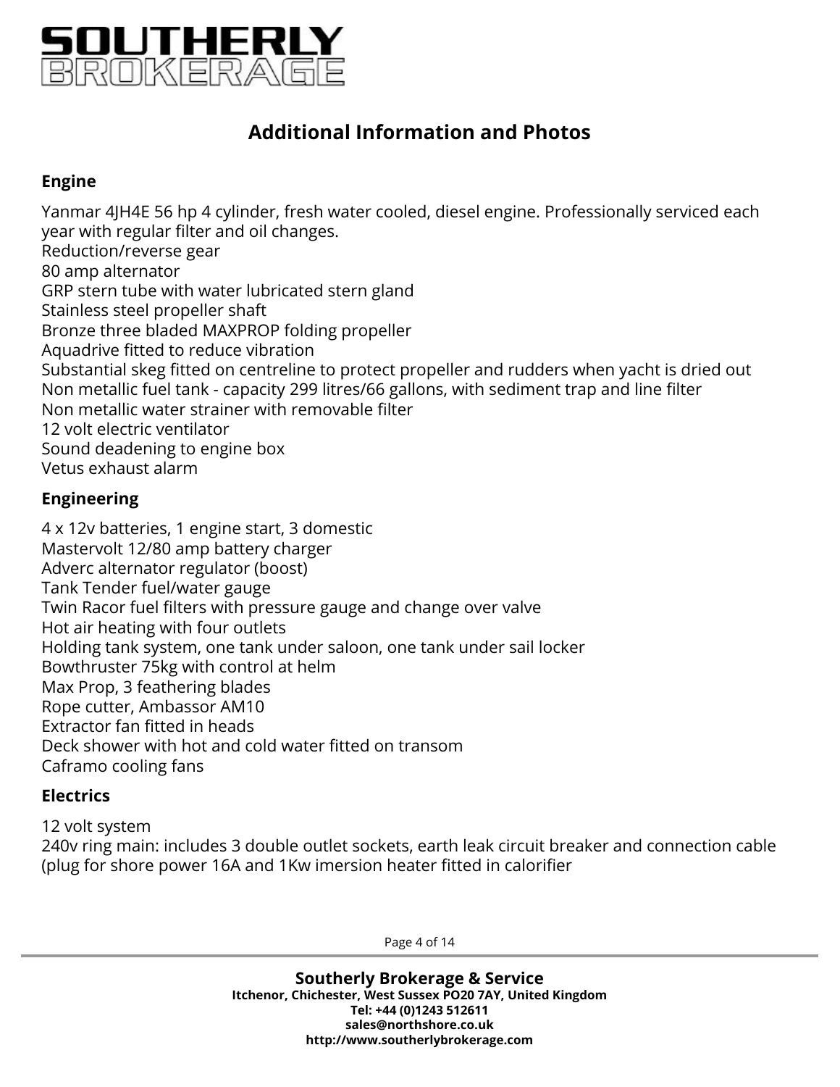

### **Engine**

Yanmar 4JH4E 56 hp 4 cylinder, fresh water cooled, diesel engine. Professionally serviced each year with regular filter and oil changes. Reduction/reverse gear 80 amp alternator GRP stern tube with water lubricated stern gland Stainless steel propeller shaft Bronze three bladed MAXPROP folding propeller Aquadrive fitted to reduce vibration Substantial skeg fitted on centreline to protect propeller and rudders when yacht is dried out Non metallic fuel tank - capacity 299 litres/66 gallons, with sediment trap and line filter Non metallic water strainer with removable filter 12 volt electric ventilator Sound deadening to engine box Vetus exhaust alarm

### **Engineering**

4 x 12v batteries, 1 engine start, 3 domestic Mastervolt 12/80 amp battery charger Adverc alternator regulator (boost) Tank Tender fuel/water gauge Twin Racor fuel filters with pressure gauge and change over valve Hot air heating with four outlets Holding tank system, one tank under saloon, one tank under sail locker Bowthruster 75kg with control at helm Max Prop, 3 feathering blades Rope cutter, Ambassor AM10 Extractor fan fitted in heads Deck shower with hot and cold water fitted on transom Caframo cooling fans

### **Electrics**

12 volt system 240v ring main: includes 3 double outlet sockets, earth leak circuit breaker and connection cable (plug for shore power 16A and 1Kw imersion heater fitted in calorifier

Page 4 of 14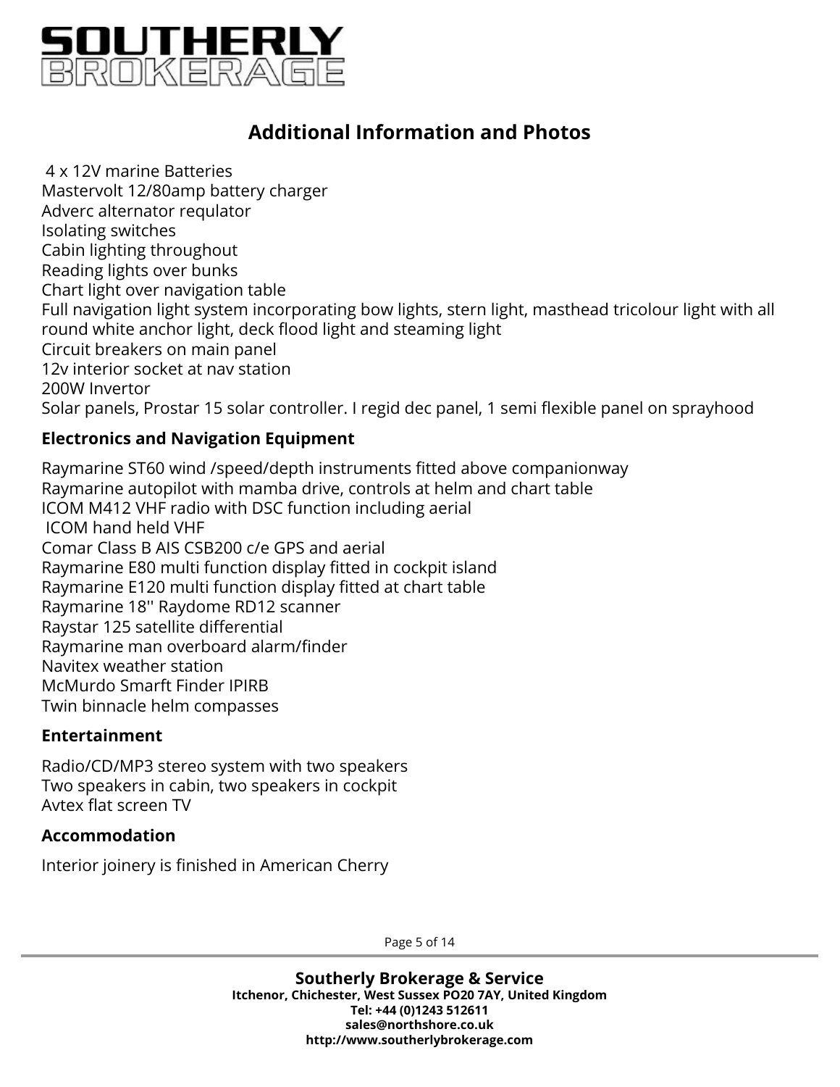

4 x 12V marine Batteries Mastervolt 12/80amp battery charger Adverc alternator requlator Isolating switches Cabin lighting throughout Reading lights over bunks Chart light over navigation table Full navigation light system incorporating bow lights, stern light, masthead tricolour light with all round white anchor light, deck flood light and steaming light Circuit breakers on main panel 12v interior socket at nav station 200W Invertor Solar panels, Prostar 15 solar controller. I regid dec panel, 1 semi flexible panel on sprayhood

#### **Electronics and Navigation Equipment**

Raymarine ST60 wind /speed/depth instruments fitted above companionway Raymarine autopilot with mamba drive, controls at helm and chart table ICOM M412 VHF radio with DSC function including aerial ICOM hand held VHF Comar Class B AIS CSB200 c/e GPS and aerial Raymarine E80 multi function display fitted in cockpit island Raymarine E120 multi function display fitted at chart table Raymarine 18'' Raydome RD12 scanner Raystar 125 satellite differential Raymarine man overboard alarm/finder Navitex weather station McMurdo Smarft Finder IPIRB Twin binnacle helm compasses

#### **Entertainment**

Radio/CD/MP3 stereo system with two speakers Two speakers in cabin, two speakers in cockpit Avtex flat screen TV

#### **Accommodation**

Interior joinery is finished in American Cherry

Page 5 of 14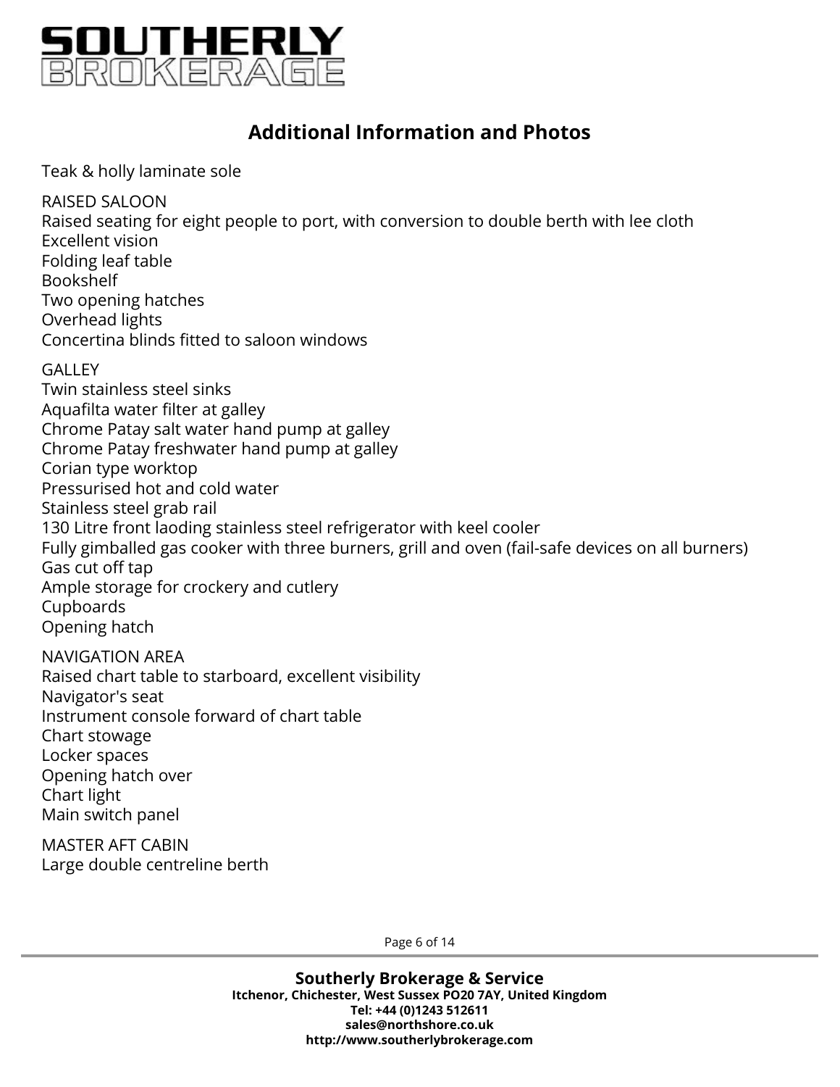

Teak & holly laminate sole

RAISED SALOON Raised seating for eight people to port, with conversion to double berth with lee cloth Excellent vision Folding leaf table Bookshelf Two opening hatches Overhead lights Concertina blinds fitted to saloon windows **GALLEY** Twin stainless steel sinks Aquafilta water filter at galley Chrome Patay salt water hand pump at galley

Chrome Patay freshwater hand pump at galley Corian type worktop Pressurised hot and cold water Stainless steel grab rail 130 Litre front laoding stainless steel refrigerator with keel cooler Fully gimballed gas cooker with three burners, grill and oven (fail-safe devices on all burners) Gas cut off tap Ample storage for crockery and cutlery Cupboards Opening hatch

NAVIGATION AREA Raised chart table to starboard, excellent visibility Navigator's seat Instrument console forward of chart table Chart stowage Locker spaces Opening hatch over Chart light Main switch panel

MASTER AFT CABIN Large double centreline berth

Page 6 of 14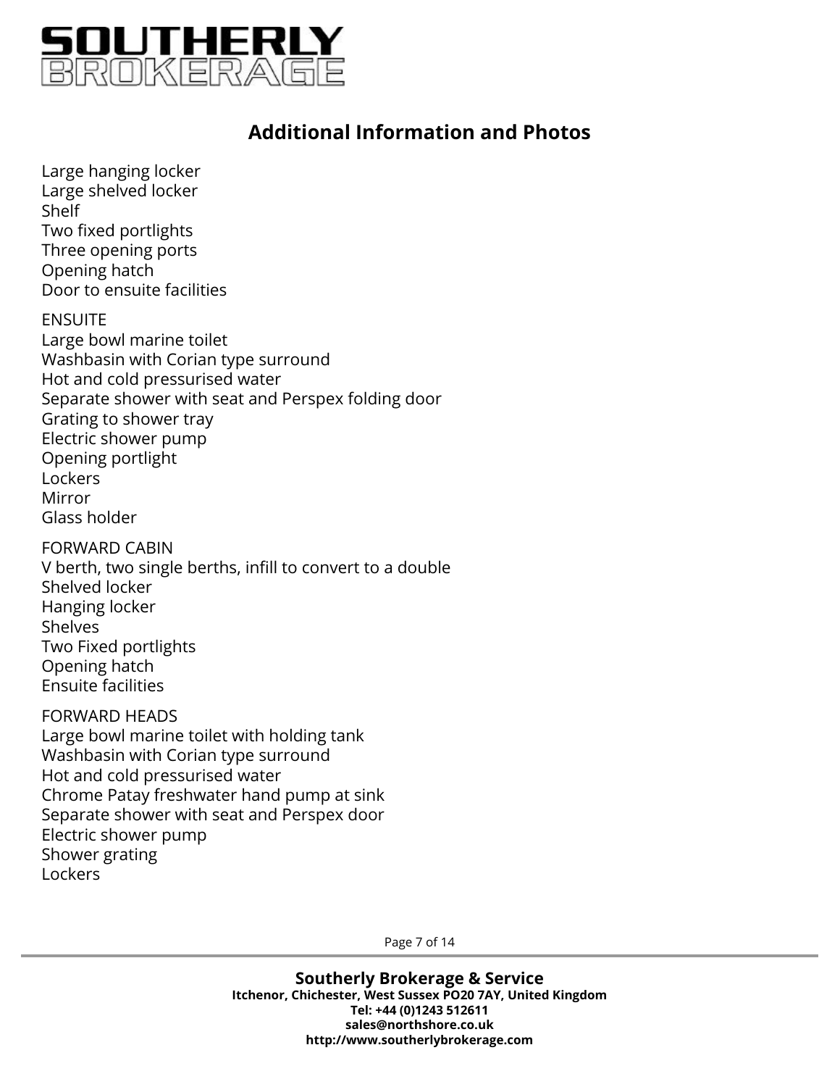

Large hanging locker Large shelved locker Shelf Two fixed portlights Three opening ports Opening hatch Door to ensuite facilities

ENSUITE Large bowl marine toilet Washbasin with Corian type surround Hot and cold pressurised water Separate shower with seat and Perspex folding door Grating to shower tray Electric shower pump Opening portlight Lockers Mirror Glass holder

FORWARD CABIN V berth, two single berths, infill to convert to a double Shelved locker Hanging locker Shelves Two Fixed portlights Opening hatch Ensuite facilities

#### FORWARD HEADS

Large bowl marine toilet with holding tank Washbasin with Corian type surround Hot and cold pressurised water Chrome Patay freshwater hand pump at sink Separate shower with seat and Perspex door Electric shower pump Shower grating Lockers

Page 7 of 14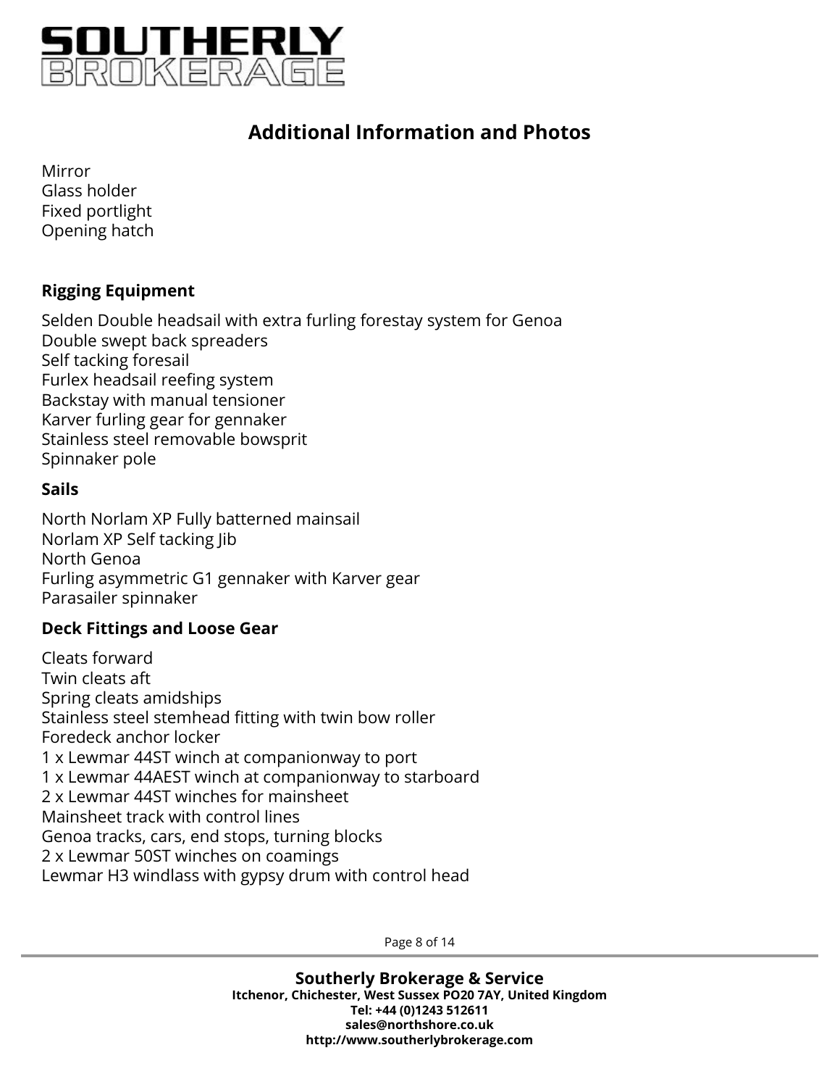

Mirror Glass holder Fixed portlight Opening hatch

### **Rigging Equipment**

Selden Double headsail with extra furling forestay system for Genoa Double swept back spreaders Self tacking foresail Furlex headsail reefing system Backstay with manual tensioner Karver furling gear for gennaker Stainless steel removable bowsprit Spinnaker pole

#### **Sails**

North Norlam XP Fully batterned mainsail Norlam XP Self tacking Jib North Genoa Furling asymmetric G1 gennaker with Karver gear Parasailer spinnaker

#### **Deck Fittings and Loose Gear**

Cleats forward Twin cleats aft Spring cleats amidships Stainless steel stemhead fitting with twin bow roller Foredeck anchor locker 1 x Lewmar 44ST winch at companionway to port 1 x Lewmar 44AEST winch at companionway to starboard 2 x Lewmar 44ST winches for mainsheet Mainsheet track with control lines Genoa tracks, cars, end stops, turning blocks 2 x Lewmar 50ST winches on coamings Lewmar H3 windlass with gypsy drum with control head

Page 8 of 14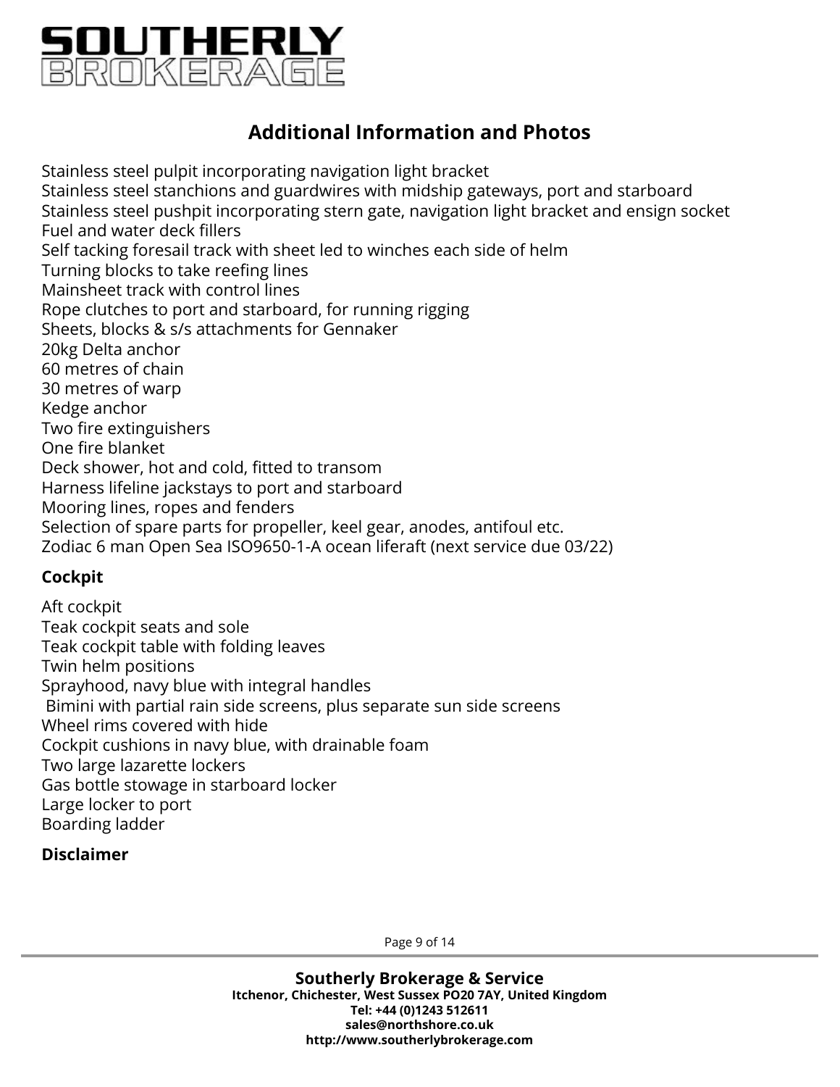

Stainless steel pulpit incorporating navigation light bracket Stainless steel stanchions and guardwires with midship gateways, port and starboard Stainless steel pushpit incorporating stern gate, navigation light bracket and ensign socket Fuel and water deck fillers Self tacking foresail track with sheet led to winches each side of helm Turning blocks to take reefing lines Mainsheet track with control lines Rope clutches to port and starboard, for running rigging Sheets, blocks & s/s attachments for Gennaker 20kg Delta anchor 60 metres of chain 30 metres of warp Kedge anchor Two fire extinguishers One fire blanket Deck shower, hot and cold, fitted to transom Harness lifeline jackstays to port and starboard Mooring lines, ropes and fenders Selection of spare parts for propeller, keel gear, anodes, antifoul etc. Zodiac 6 man Open Sea ISO9650-1-A ocean liferaft (next service due 03/22)

### **Cockpit**

Aft cockpit Teak cockpit seats and sole Teak cockpit table with folding leaves Twin helm positions Sprayhood, navy blue with integral handles Bimini with partial rain side screens, plus separate sun side screens Wheel rims covered with hide Cockpit cushions in navy blue, with drainable foam Two large lazarette lockers Gas bottle stowage in starboard locker Large locker to port Boarding ladder

#### **Disclaimer**

Page 9 of 14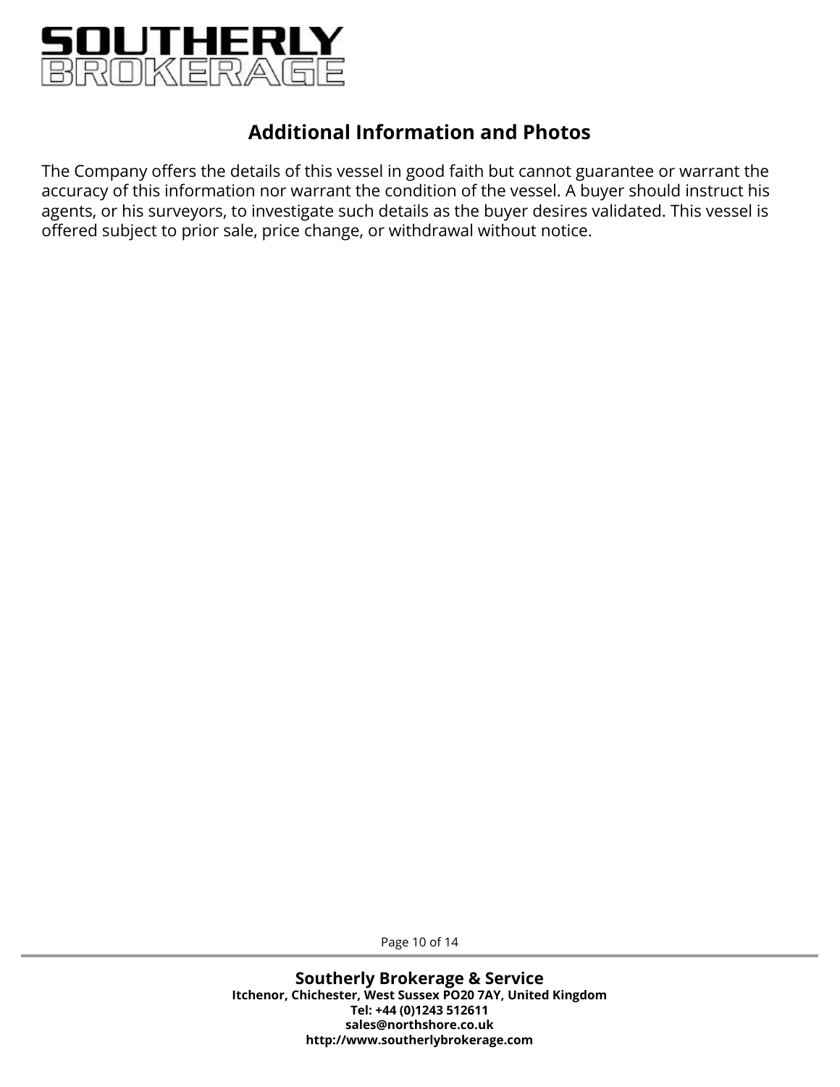

The Company offers the details of this vessel in good faith but cannot guarantee or warrant the accuracy of this information nor warrant the condition of the vessel. A buyer should instruct his agents, or his surveyors, to investigate such details as the buyer desires validated. This vessel is offered subject to prior sale, price change, or withdrawal without notice.

Page 10 of 14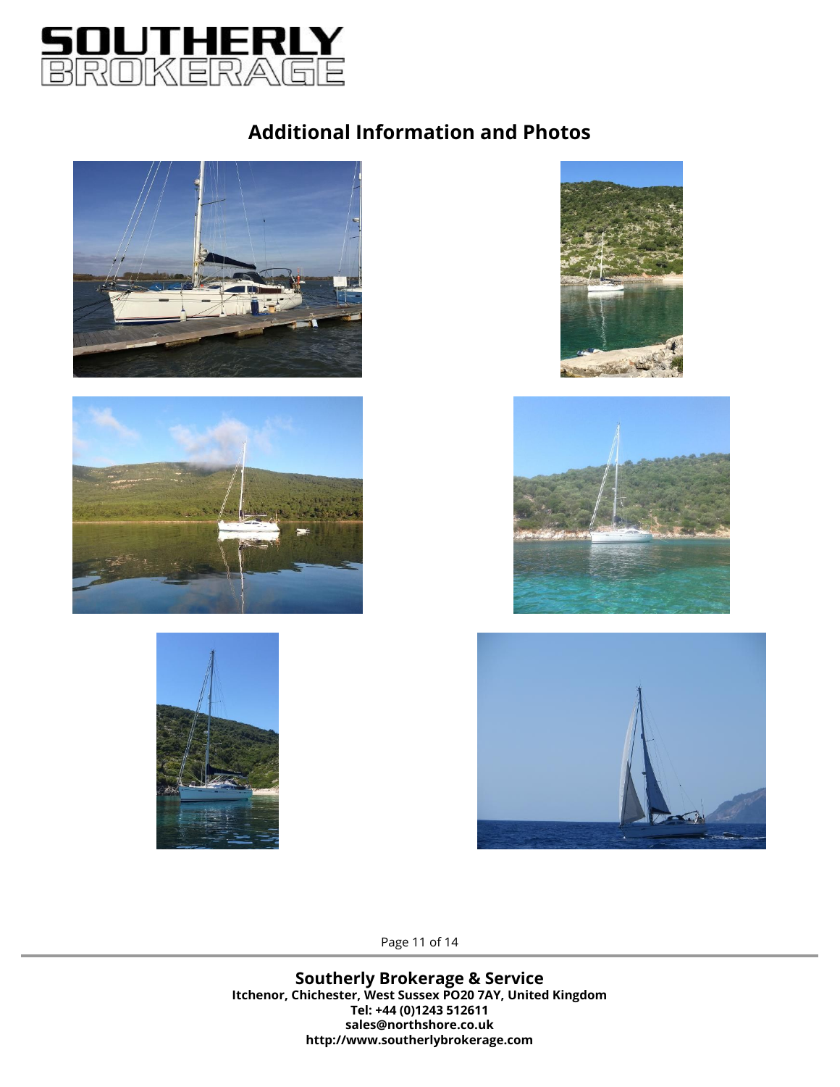













Page 11 of 14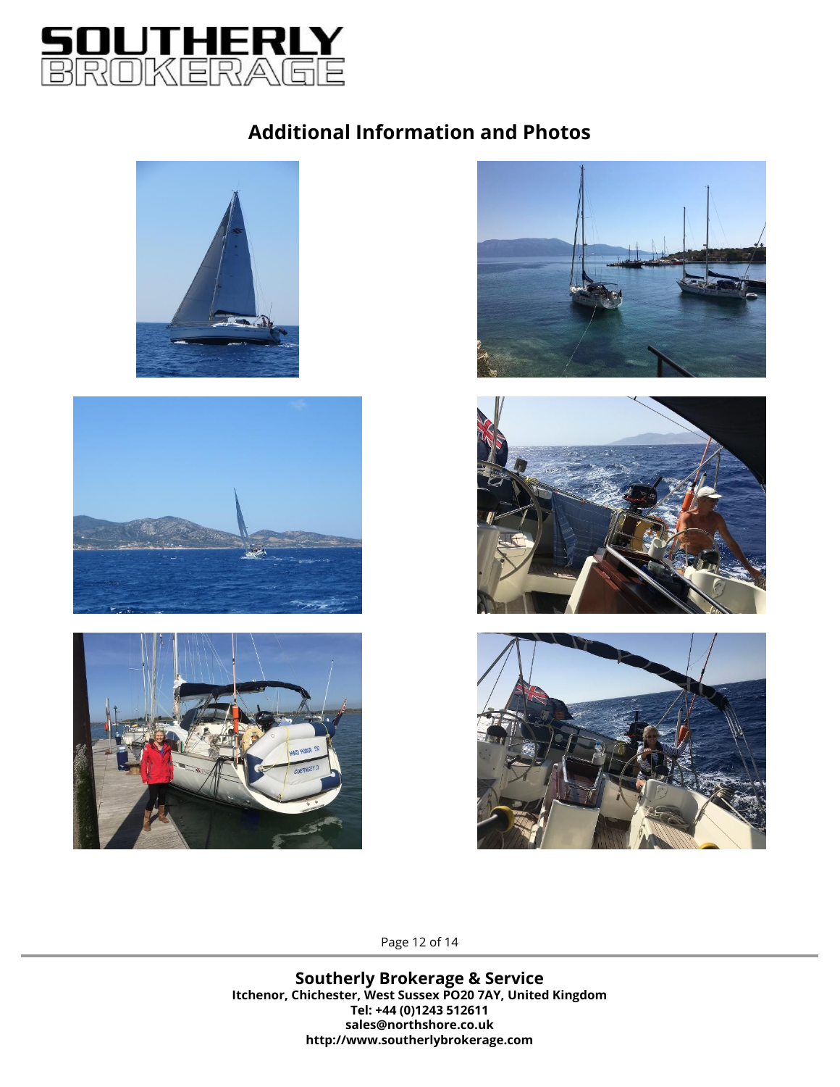













Page 12 of 14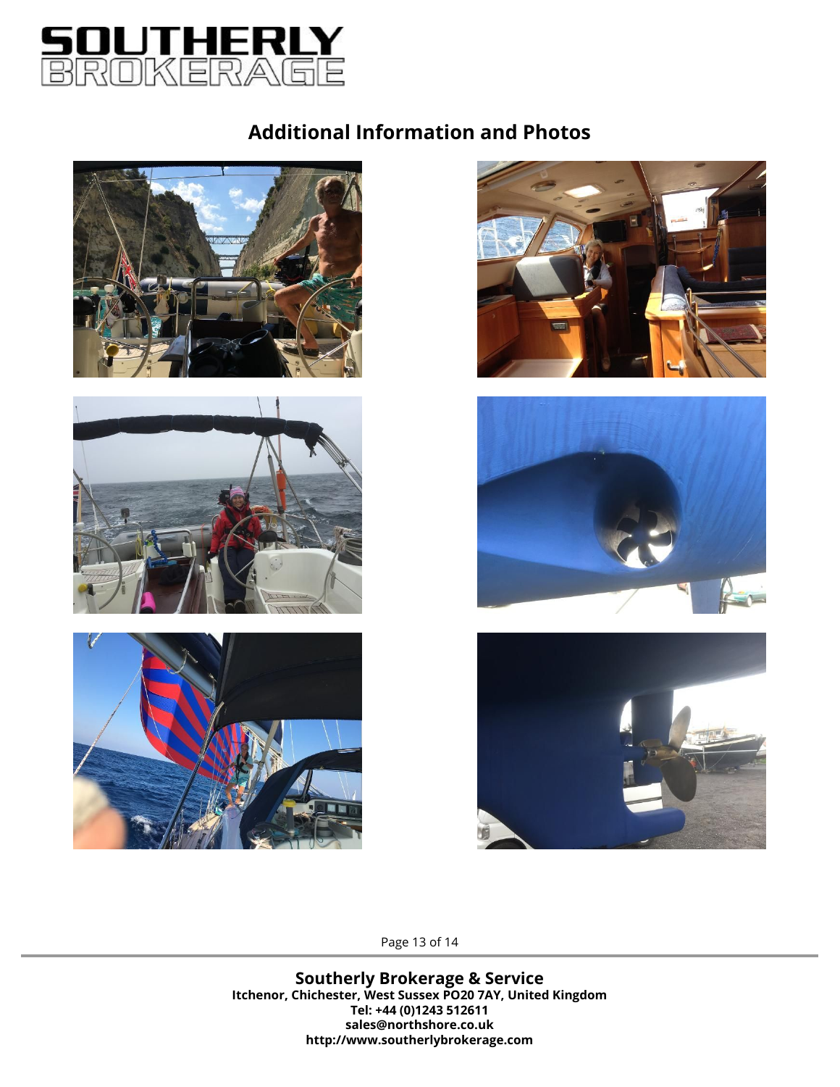













Page 13 of 14